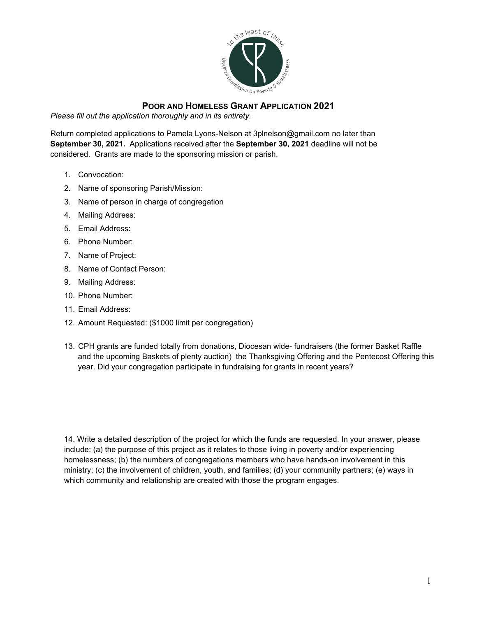

## **POOR AND HOMELESS GRANT APPLICATION 2021**

*Please fill out the application thoroughly and in its entirety.* 

Return completed applications to Pamela Lyons-Nelson at 3plnelson@gmail.com no later than **September 30, 2021.** Applications received after the **September 30, 2021** deadline will not be considered. Grants are made to the sponsoring mission or parish.

- 1. Convocation:
- 2. Name of sponsoring Parish/Mission:
- 3. Name of person in charge of congregation
- 4. Mailing Address:
- 5. Email Address:
- 6. Phone Number:
- 7. Name of Project:
- 8. Name of Contact Person:
- 9. Mailing Address:
- 10. Phone Number:
- 11. Email Address:
- 12. Amount Requested: (\$1000 limit per congregation)
- 13. CPH grants are funded totally from donations, Diocesan wide- fundraisers (the former Basket Raffle and the upcoming Baskets of plenty auction) the Thanksgiving Offering and the Pentecost Offering this year. Did your congregation participate in fundraising for grants in recent years?

14. Write a detailed description of the project for which the funds are requested. In your answer, please include: (a) the purpose of this project as it relates to those living in poverty and/or experiencing homelessness; (b) the numbers of congregations members who have hands-on involvement in this ministry; (c) the involvement of children, youth, and families; (d) your community partners; (e) ways in which community and relationship are created with those the program engages.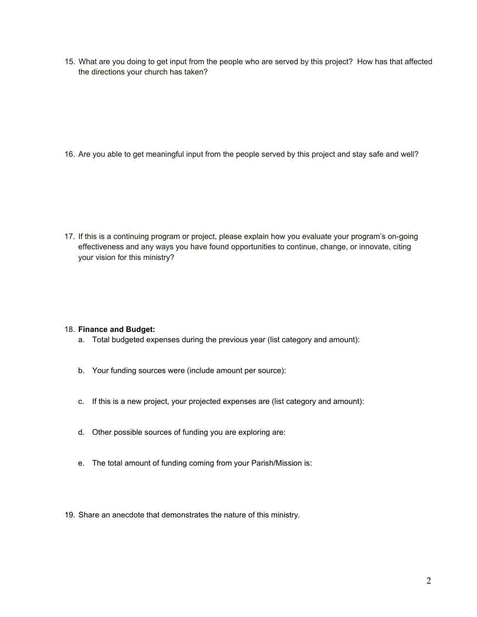15. What are you doing to get input from the people who are served by this project? How has that affected the directions your church has taken?

16. Are you able to get meaningful input from the people served by this project and stay safe and well?

17. If this is a continuing program or project, please explain how you evaluate your program's on-going effectiveness and any ways you have found opportunities to continue, change, or innovate, citing your vision for this ministry?

## 18. **Finance and Budget:**

- a. Total budgeted expenses during the previous year (list category and amount):
- b. Your funding sources were (include amount per source):
- c. If this is a new project, your projected expenses are (list category and amount):
- d. Other possible sources of funding you are exploring are:
- e. The total amount of funding coming from your Parish/Mission is:
- 19. Share an anecdote that demonstrates the nature of this ministry.